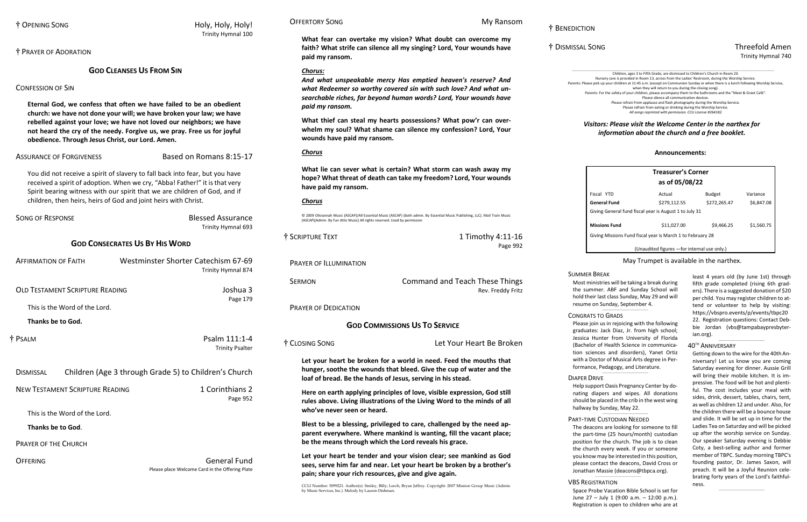# † BENEDICTION

\_\_\_\_\_\_\_\_\_\_\_\_\_\_\_\_\_\_\_\_\_\_\_\_\_\_\_\_\_\_\_\_\_\_\_\_\_\_\_\_\_\_\_\_\_\_\_\_\_\_\_\_\_\_\_\_\_\_\_\_\_\_\_\_\_\_\_\_\_\_\_\_\_\_\_\_\_\_\_\_\_\_\_\_\_\_\_\_\_\_\_\_\_\_\_\_\_\_\_\_\_\_\_\_\_\_\_\_\_\_\_\_\_\_\_\_\_\_\_\_\_\_\_\_\_\_\_\_\_\_\_\_\_\_\_\_\_\_\_\_\_\_\_\_\_\_\_\_\_\_\_\_\_\_ Children, ages 3 to Fifth Grade, are dismissed to Children's Church in Room 20. Nursery care is provided in Room 13, across from the Ladies' Restroom, during the Worship Service. Parents: Please pick up your children at 11:45 a.m. (except on Communion Sunday or when there is a lunch following Worship Service, when they will return to you during the closing song). Parents: For the safety of your children, please accompany them to the bathrooms and the "Meet & Greet Café". Please silence all communication devices. Please refrain from applause and flash photography during the Worship Service. Please refrain from eating or drinking during the Worship Service.

# † DISMISSAL SONG Threefold Amen Trinity Hymnal 740

# † OPENING SONG Holy, Holy, Holy! Trinity Hymnal 100

*All songs reprinted with permission. CCLI License #264182.*

# *Visitors: Please visit the Welcome Center in the narthex for information about the church and a free booklet.*

† PRAYER OF ADORATION

# **GOD CLEANSES US FROM SIN**

# CONFESSION OF SIN

**Eternal God, we confess that often we have failed to be an obedient church: we have not done your will; we have broken your law; we have rebelled against your love; we have not loved our neighbors; we have not heard the cry of the needy. Forgive us, we pray. Free us for joyful obedience. Through Jesus Christ, our Lord. Amen.**

ASSURANCE OF FORGIVENESS Based on Romans 8:15-17

You did not receive a spirit of slavery to fall back into fear, but you have received a spirit of adoption. When we cry, "Abba! Father!" it is that very Spirit bearing witness with our spirit that we are children of God, and if children, then heirs, heirs of God and joint heirs with Christ.

> SERMON Command and Teach These Things Rev. Freddy Fritz

| <b>SONG OF RESPONSE</b>                | <b>Blessed Assurance</b><br>Trinity Hymnal 693                         |  |  |
|----------------------------------------|------------------------------------------------------------------------|--|--|
| <b>GOD CONSECRATES US BY HIS WORD</b>  |                                                                        |  |  |
| <b>AFFIRMATION OF FAITH</b>            | Westminster Shorter Catechism 67-69<br>Trinity Hymnal 874              |  |  |
| <b>OLD TESTAMENT SCRIPTURE READING</b> | Joshua 3<br>Page 179                                                   |  |  |
| This is the Word of the Lord.          |                                                                        |  |  |
| Thanks be to God.                      |                                                                        |  |  |
| † PSALM                                | Psalm 111:1-4<br><b>Trinity Psalter</b>                                |  |  |
| <b>DISMISSAL</b>                       | Children (Age 3 through Grade 5) to Children's Church                  |  |  |
| <b>NEW TESTAMENT SCRIPTURE READING</b> | 1 Corinthians 2<br>Page 952                                            |  |  |
| This is the Word of the Lord.          |                                                                        |  |  |
| Thanks be to God.                      |                                                                        |  |  |
| <b>PRAYER OF THE CHURCH</b>            |                                                                        |  |  |
| OFFFRING                               | <b>General Fund</b><br>Please place Welcome Card in the Offering Plate |  |  |

# OFFERTORY SONG MY RANSOM

# **What fear can overtake my vision? What doubt can overcome my faith? What strife can silence all my singing? Lord, Your wounds have paid my ransom.**

# *Chorus:*

*And what unspeakable mercy Has emptied heaven's reserve? And what Redeemer so worthy covered sin with such love? And what unsearchable riches, far beyond human words? Lord, Your wounds have paid my ransom.*

**What thief can steal my hearts possessions? What pow'r can overwhelm my soul? What shame can silence my confession? Lord, Your wounds have paid my ransom.**

# *Chorus*

**What lie can sever what is certain? What storm can wash away my hope? What threat of death can take my freedom? Lord, Your wounds have paid my ransom.**

# *Chorus*

© 2009 Oliviannah Music (ASCAP)/All Essential Music (ASCAP) (both admin. By Essential Music Publishing, LLC). Mail Train Music (ASCAP)(Admin. By Fun Attic Music) All rights reserved. Used by permission

| † SCRIPTURE TEXT              | 1 Timothy 4:11-16 |
|-------------------------------|-------------------|
|                               | Page 992          |
| <b>PRAYER OF ILLUMINATION</b> |                   |

PRAYER OF DEDICATION

# **GOD COMMISSIONS US TO SERVICE**

† CLOSING SONG Let Your Heart Be Broken

**Let your heart be broken for a world in need. Feed the mouths that hunger, soothe the wounds that bleed. Give the cup of water and the loaf of bread. Be the hands of Jesus, serving in his stead.**

**Here on earth applying principles of love, visible expression, God still rules above. Living illustrations of the Living Word to the minds of all who've never seen or heard.**

**Blest to be a blessing, privileged to care, challenged by the need apparent everywhere. Where mankind is wanting, fill the vacant place; be the means through which the Lord reveals his grace.**

**Let your heart be tender and your vision clear; see mankind as God sees, serve him far and near. Let your heart be broken by a brother's pain; share your rich resources, give and give again.**

CCLI Number: 5099221. Author(s): Smiley, Billy; Leech, Bryan Jeffrey. Copyright: 2007 Mission Group Music (Admin. by Music Services, Inc.). Melody by Lauren Dishman.

### **Announcements:**

| <b>Treasurer's Corner</b><br>as of 05/08/22                |              |               |            |  |
|------------------------------------------------------------|--------------|---------------|------------|--|
| Fiscal YTD                                                 | Actual       | <b>Budget</b> | Variance   |  |
| General Fund                                               | \$279,112.55 | \$272,265.47  | \$6,847.08 |  |
| Giving General fund fiscal year is August 1 to July 31     |              |               |            |  |
| <b>Missions Fund</b>                                       | \$11.027.00  | \$9.466.25    | \$1.560.75 |  |
| Giving Missions Fund fiscal year is March 1 to February 28 |              |               |            |  |
| (Unaudited figures - for internal use only.)               |              |               |            |  |

### May Trumpet is available in the narthex.

least 4 years old (by June 1st) through fifth grade completed (rising 6th graders). There is a suggested donation of \$20 per child. You may register children to attend or volunteer to help by visiting: [https://vbspro.events/p/events/tbpc20](https://vbspro.events/p/events/tbpc2022) [22.](https://vbspro.events/p/events/tbpc2022) Registration questions: Contact Debbie Jordan [\(vbs@tampabaypresbyter](mailto:vbs@tampabaypresbyterian.org)[ian.org\)](mailto:vbs@tampabaypresbyterian.org).

 $\_$ 

# 40 TH ANNIVERSARY

Getting down to the wire for the 40th Anniversary! Let us know you are coming Saturday evening for dinner. Aussie Grill will bring their mobile kitchen. It is impressive. The food will be hot and plentiful. The cost includes your meal with sides, drink, dessert, tables, chairs, tent, as well as children 12 and under. Also, for the children there will be a bounce house and slide. It will be set up in time for the Ladies Tea on Saturday and will be picked up after the worship service on Sunday. Our speaker Saturday evening is Debbie Coty, a best-selling author and former member of TBPC. Sunday morning TBPC's founding pastor, Dr. James Saxon, will preach. It will be a Joyful Reunion celebrating forty years of the Lord's faithfulness.

 $\_$ 

# SUMMER BREAK

Most ministries will be taking a break during the summer. ABF and Sunday School will hold their last class Sunday, May 29 and will resume on Sunday, September 4.

 $\_$ 

### CONGRATS TO GRADS

Please join us in rejoicing with the following graduates: Jack Diaz, Jr. from high school; Jessica Hunter from University of Florida (Bachelor of Health Science in communication sciences and disorders), Yanet Ortiz with a Doctor of Musical Arts degree in Performance, Pedagogy, and Literature.

# DIAPER DRIVE

Help support Oasis Pregnancy Center by donating diapers and wipes. All donations should be placed in the crib in the west wing hallway by Sunday, May 22.

\_\_\_\_\_\_\_\_\_\_\_\_\_\_\_\_\_\_\_\_\_\_\_\_\_\_\_\_\_\_\_\_\_\_\_

 $\_$ 

# PART-TIME CUSTODIAN NEEDED

The deacons are looking for someone to fill the part-time (25 hours/month) custodian position for the church. The job is to clean the church every week. If you or someone you know may be interested in this position, please contact the deacons, David Cross or Jonathan Massie [\(deacons@tbpca.org\)](mailto:deacons@tbpca.org).

\_\_\_\_\_\_\_\_\_\_\_\_\_\_\_\_\_\_\_\_\_\_\_\_\_\_\_\_\_\_\_\_\_\_\_

### VBS REGISTRATION

Space Probe Vacation Bible School is set for June 27 – July 1 (9:00 a.m. – 12:00 p.m.). Registration is open to children who are at